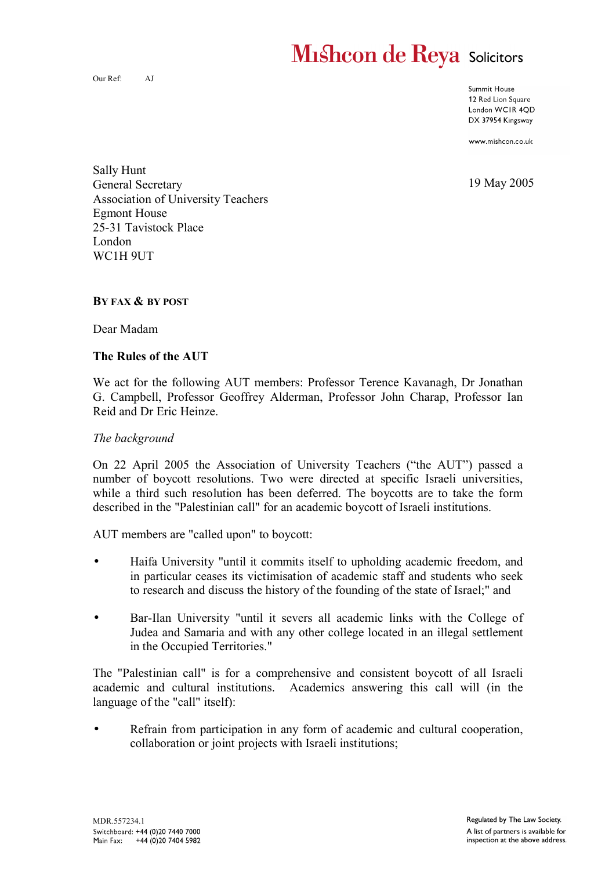# **Mishcon de Reya Solicitors**

Our Ref: AJ

Summit House 12 Red Lion Square London WCIR 4QD DX 37954 Kingsway

www.mishcon.co.uk

19 May 2005

Sally Hunt General Secretary Association of University Teachers Egmont House 25-31 Tavistock Place London WC1H 9UT

#### **BY FAX & BY POST**

Dear Madam

## **The Rules of the AUT**

We act for the following AUT members: Professor Terence Kavanagh, Dr Jonathan G. Campbell, Professor Geoffrey Alderman, Professor John Charap, Professor Ian Reid and Dr Eric Heinze.

#### *The background*

On 22 April 2005 the Association of University Teachers ("the AUT") passed a number of boycott resolutions. Two were directed at specific Israeli universities, while a third such resolution has been deferred. The boycotts are to take the form described in the "Palestinian call" for an academic boycott of Israeli institutions.

AUT members are "called upon" to boycott:

- Haifa University "until it commits itself to upholding academic freedom, and in particular ceases its victimisation of academic staff and students who seek to research and discuss the history of the founding of the state of Israel;" and
- Bar-Ilan University "until it severs all academic links with the College of Judea and Samaria and with any other college located in an illegal settlement in the Occupied Territories."

The "Palestinian call" is for a comprehensive and consistent boycott of all Israeli academic and cultural institutions. Academics answering this call will (in the language of the "call" itself):

Refrain from participation in any form of academic and cultural cooperation, collaboration or joint projects with Israeli institutions;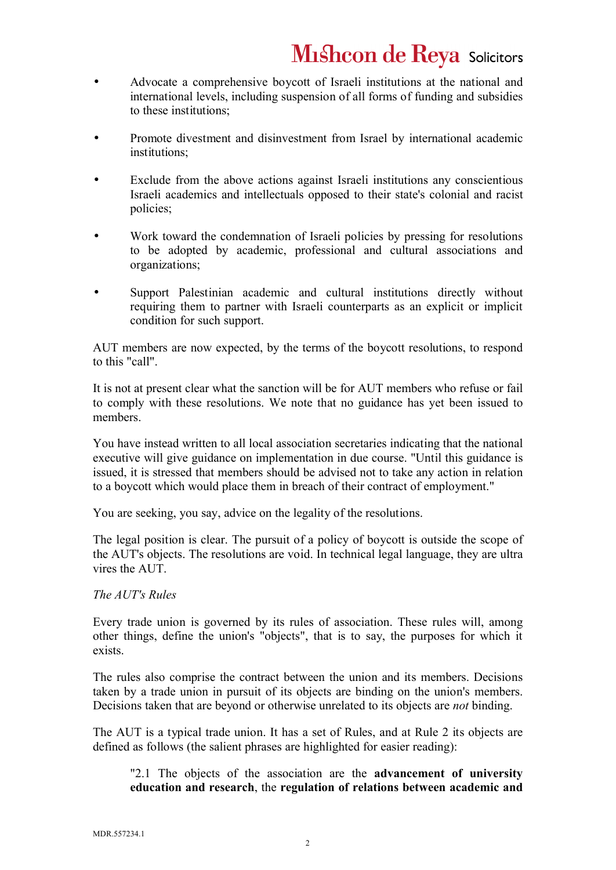- Advocate a comprehensive boycott of Israeli institutions at the national and international levels, including suspension of all forms of funding and subsidies to these institutions;
- Promote divestment and disinvestment from Israel by international academic institutions;
- Exclude from the above actions against Israeli institutions any conscientious Israeli academics and intellectuals opposed to their state's colonial and racist policies;
- Work toward the condemnation of Israeli policies by pressing for resolutions to be adopted by academic, professional and cultural associations and organizations;
- Support Palestinian academic and cultural institutions directly without requiring them to partner with Israeli counterparts as an explicit or implicit condition for such support.

AUT members are now expected, by the terms of the boycott resolutions, to respond to this "call".

It is not at present clear what the sanction will be for AUT members who refuse or fail to comply with these resolutions. We note that no guidance has yet been issued to members.

You have instead written to all local association secretaries indicating that the national executive will give guidance on implementation in due course. "Until this guidance is issued, it is stressed that members should be advised not to take any action in relation to a boycott which would place them in breach of their contract of employment."

You are seeking, you say, advice on the legality of the resolutions.

The legal position is clear. The pursuit of a policy of boycott is outside the scope of the AUT's objects. The resolutions are void. In technical legal language, they are ultra vires the AUT.

### *The AUT's Rules*

Every trade union is governed by its rules of association. These rules will, among other things, define the union's "objects", that is to say, the purposes for which it exists.

The rules also comprise the contract between the union and its members. Decisions taken by a trade union in pursuit of its objects are binding on the union's members. Decisions taken that are beyond or otherwise unrelated to its objects are *not* binding.

The AUT is a typical trade union. It has a set of Rules, and at Rule 2 its objects are defined as follows (the salient phrases are highlighted for easier reading):

"2.1 The objects of the association are the **advancement of university education and research**, the **regulation of relations between academic and**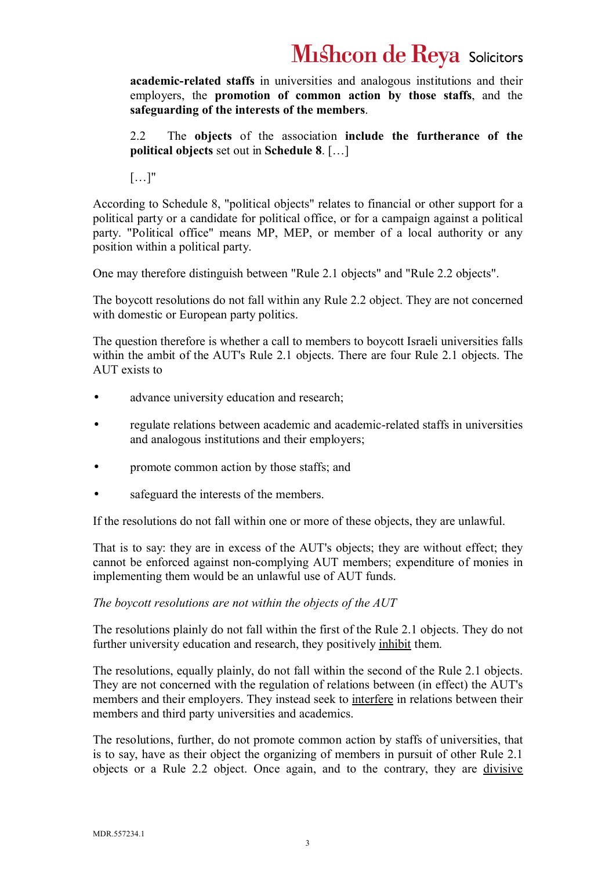# **Mishcon de Reya Solicitors**

**academic-related staffs** in universities and analogous institutions and their employers, the **promotion of common action by those staffs**, and the **safeguarding of the interests of the members**.

2.2 The **objects** of the association **include the furtherance of the political objects** set out in **Schedule 8**. […]

[…]"

According to Schedule 8, "political objects" relates to financial or other support for a political party or a candidate for political office, or for a campaign against a political party. "Political office" means MP, MEP, or member of a local authority or any position within a political party.

One may therefore distinguish between "Rule 2.1 objects" and "Rule 2.2 objects".

The boycott resolutions do not fall within any Rule 2.2 object. They are not concerned with domestic or European party politics.

The question therefore is whether a call to members to boycott Israeli universities falls within the ambit of the AUT's Rule 2.1 objects. There are four Rule 2.1 objects. The AUT exists to

- advance university education and research;
- regulate relations between academic and academic-related staffs in universities and analogous institutions and their employers;
- promote common action by those staffs; and
- safeguard the interests of the members.

If the resolutions do not fall within one or more of these objects, they are unlawful.

That is to say: they are in excess of the AUT's objects; they are without effect; they cannot be enforced against non-complying AUT members; expenditure of monies in implementing them would be an unlawful use of AUT funds.

### *The boycott resolutions are not within the objects of the AUT*

The resolutions plainly do not fall within the first of the Rule 2.1 objects. They do not further university education and research, they positively inhibit them.

The resolutions, equally plainly, do not fall within the second of the Rule 2.1 objects. They are not concerned with the regulation of relations between (in effect) the AUT's members and their employers. They instead seek to interfere in relations between their members and third party universities and academics.

The resolutions, further, do not promote common action by staffs of universities, that is to say, have as their object the organizing of members in pursuit of other Rule 2.1 objects or a Rule 2.2 object. Once again, and to the contrary, they are divisive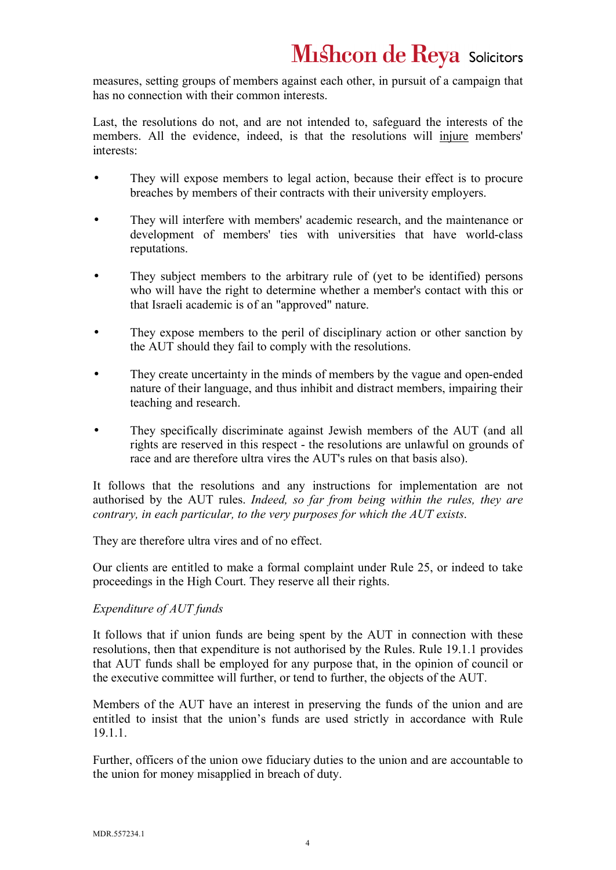measures, setting groups of members against each other, in pursuit of a campaign that has no connection with their common interests.

Last, the resolutions do not, and are not intended to, safeguard the interests of the members. All the evidence, indeed, is that the resolutions will injure members' interests:

- They will expose members to legal action, because their effect is to procure breaches by members of their contracts with their university employers.
- They will interfere with members' academic research, and the maintenance or development of members' ties with universities that have world-class reputations.
- They subject members to the arbitrary rule of (yet to be identified) persons who will have the right to determine whether a member's contact with this or that Israeli academic is of an "approved" nature.
- They expose members to the peril of disciplinary action or other sanction by the AUT should they fail to comply with the resolutions.
- They create uncertainty in the minds of members by the vague and open-ended nature of their language, and thus inhibit and distract members, impairing their teaching and research.
- They specifically discriminate against Jewish members of the AUT (and all rights are reserved in this respect - the resolutions are unlawful on grounds of race and are therefore ultra vires the AUT's rules on that basis also).

It follows that the resolutions and any instructions for implementation are not authorised by the AUT rules. *Indeed, so far from being within the rules, they are contrary, in each particular, to the very purposes for which the AUT exists*.

They are therefore ultra vires and of no effect.

Our clients are entitled to make a formal complaint under Rule 25, or indeed to take proceedings in the High Court. They reserve all their rights.

### *Expenditure of AUT funds*

It follows that if union funds are being spent by the AUT in connection with these resolutions, then that expenditure is not authorised by the Rules. Rule 19.1.1 provides that AUT funds shall be employed for any purpose that, in the opinion of council or the executive committee will further, or tend to further, the objects of the AUT.

Members of the AUT have an interest in preserving the funds of the union and are entitled to insist that the union's funds are used strictly in accordance with Rule 19.1.1.

Further, officers of the union owe fiduciary duties to the union and are accountable to the union for money misapplied in breach of duty.